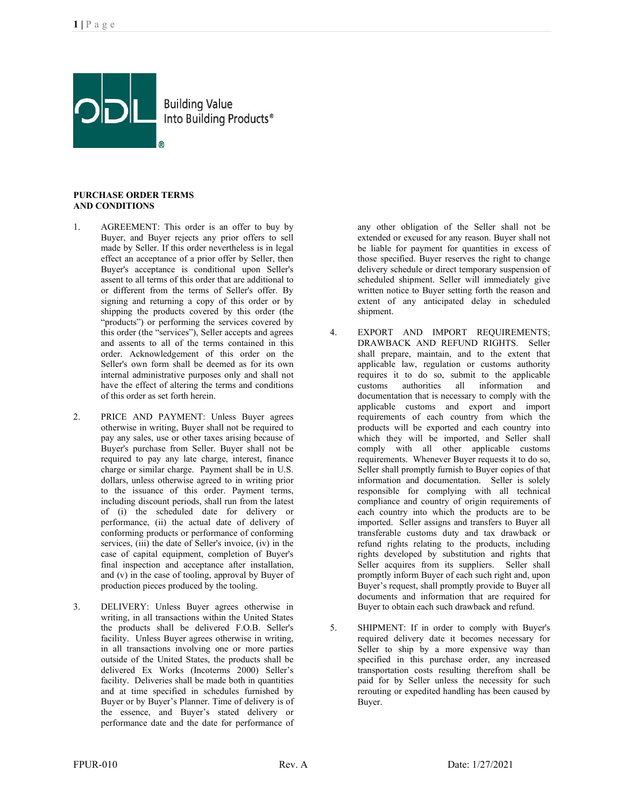

**Building Value** Into Building Products®

## **PURCHASE ORDER TERMS AND CONDITIONS**

- 1. AGREEMENT: This order is an offer to buy by Buyer, and Buyer rejects any prior offers to sell made by Seller. If this order nevertheless is in legal effect an acceptance of a prior offer by Seller, then Buyer's acceptance is conditional upon Seller's assent to all terms of this order that are additional to or different from the terms of Seller's offer. By signing and returning a copy of this order or by shipping the products covered by this order (the "products") or performing the services covered by this order (the "services"), Seller accepts and agrees and assents to all of the terms contained in this order. Acknowledgement of this order on the Seller's own form shall be deemed as for its own internal administrative purposes only and shall not have the effect of altering the terms and conditions of this order as set forth herein.
- 2. PRICE AND PAYMENT: Unless Buyer agrees otherwise in writing, Buyer shall not be required to pay any sales, use or other taxes arising because of Buyer's purchase from Seller. Buyer shall not be required to pay any late charge, interest, finance charge or similar charge. Payment shall be in U.S. dollars, unless otherwise agreed to in writing prior to the issuance of this order. Payment terms, including discount periods, shall run from the latest of (i) the scheduled date for delivery or performance, (ii) the actual date of delivery of conforming products or performance of conforming services, (iii) the date of Seller's invoice, (iv) in the case of capital equipment, completion of Buyer's final inspection and acceptance after installation, and (v) in the case of tooling, approval by Buyer of production pieces produced by the tooling.
- 3. DELIVERY: Unless Buyer agrees otherwise in writing, in all transactions within the United States the products shall be delivered F.O.B. Seller's facility. Unless Buyer agrees otherwise in writing, in all transactions involving one or more parties outside of the United States, the products shall be delivered Ex Works (Incoterms 2000) Seller's facility. Deliveries shall be made both in quantities and at time specified in schedules furnished by Buyer or by Buyer's Planner. Time of delivery is of the essence, and Buyer's stated delivery or performance date and the date for performance of

any other obligation of the Seller shall not be extended or excused for any reason. Buyer shall not be liable for payment for quantities in excess of those specified. Buyer reserves the right to change delivery schedule or direct temporary suspension of scheduled shipment. Seller will immediately give written notice to Buyer setting forth the reason and extent of any anticipated delay in scheduled shipment.

- 4. EXPORT AND IMPORT REQUIREMENTS; DRAWBACK AND REFUND RIGHTS. Seller shall prepare, maintain, and to the extent that applicable law, regulation or customs authority requires it to do so, submit to the applicable<br>customs authorities all information and information documentation that is necessary to comply with the applicable customs and export and import requirements of each country from which the products will be exported and each country into which they will be imported, and Seller shall comply with all other applicable customs requirements. Whenever Buyer requests it to do so, Seller shall promptly furnish to Buyer copies of that information and documentation. Seller is solely responsible for complying with all technical compliance and country of origin requirements of each country into which the products are to be imported. Seller assigns and transfers to Buyer all transferable customs duty and tax drawback or refund rights relating to the products, including rights developed by substitution and rights that Seller acquires from its suppliers. Seller shall promptly inform Buyer of each such right and, upon Buyer's request, shall promptly provide to Buyer all documents and information that are required for Buyer to obtain each such drawback and refund.
- 5. SHIPMENT: If in order to comply with Buyer's required delivery date it becomes necessary for Seller to ship by a more expensive way than specified in this purchase order, any increased transportation costs resulting therefrom shall be paid for by Seller unless the necessity for such rerouting or expedited handling has been caused by Buyer.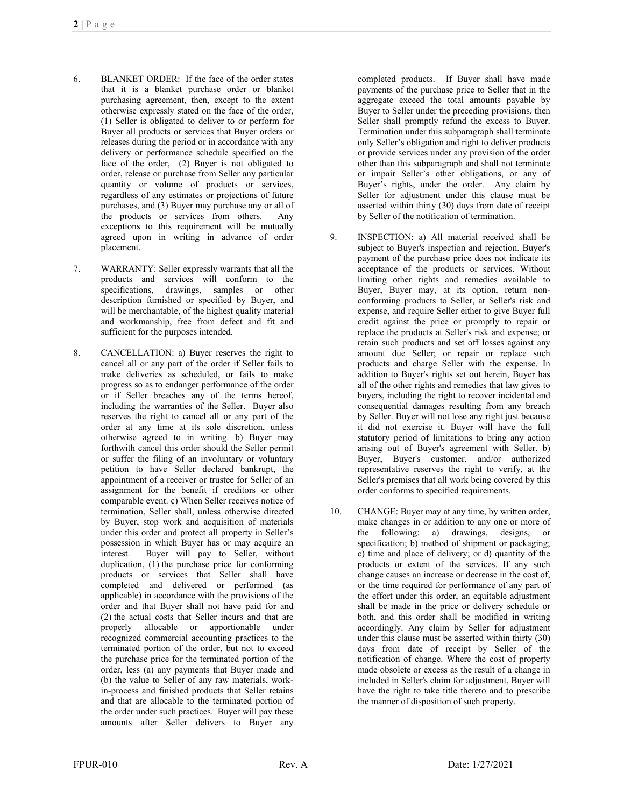- 6. BLANKET ORDER: If the face of the order states that it is a blanket purchase order or blanket purchasing agreement, then, except to the extent otherwise expressly stated on the face of the order, (1) Seller is obligated to deliver to or perform for Buyer all products or services that Buyer orders or releases during the period or in accordance with any delivery or performance schedule specified on the face of the order, (2) Buyer is not obligated to order, release or purchase from Seller any particular quantity or volume of products or services, regardless of any estimates or projections of future purchases, and (3) Buyer may purchase any or all of the products or services from others.Any exceptions to this requirement will be mutually agreed upon in writing in advance of order placement.
- 7. WARRANTY: Seller expressly warrants that all the products and services will conform to the specifications, drawings, samples or other description furnished or specified by Buyer, and will be merchantable, of the highest quality material and workmanship, free from defect and fit and sufficient for the purposes intended.
- 8. CANCELLATION: a) Buyer reserves the right to cancel all or any part of the order if Seller fails to make deliveries as scheduled, or fails to make progress so as to endanger performance of the order or if Seller breaches any of the terms hereof, including the warranties of the Seller. Buyer also reserves the right to cancel all or any part of the order at any time at its sole discretion, unless otherwise agreed to in writing. b) Buyer may forthwith cancel this order should the Seller permit or suffer the filing of an involuntary or voluntary petition to have Seller declared bankrupt, the appointment of a receiver or trustee for Seller of an assignment for the benefit if creditors or other comparable event. c) When Seller receives notice of termination, Seller shall, unless otherwise directed by Buyer, stop work and acquisition of materials under this order and protect all property in Seller's possession in which Buyer has or may acquire an interest. Buyer will pay to Seller, without duplication, (1) the purchase price for conforming products or services that Seller shall have completed and delivered or performed (as applicable) in accordance with the provisions of the order and that Buyer shall not have paid for and (2) the actual costs that Seller incurs and that are properly allocable or apportionable under recognized commercial accounting practices to the terminated portion of the order, but not to exceed the purchase price for the terminated portion of the order, less (a) any payments that Buyer made and (b) the value to Seller of any raw materials, workin-process and finished products that Seller retains and that are allocable to the terminated portion of the order under such practices. Buyer will pay these amounts after Seller delivers to Buyer any

completed products. If Buyer shall have made payments of the purchase price to Seller that in the aggregate exceed the total amounts payable by Buyer to Seller under the preceding provisions, then Seller shall promptly refund the excess to Buyer. Termination under this subparagraph shall terminate only Seller's obligation and right to deliver products or provide services under any provision of the order other than this subparagraph and shall not terminate or impair Seller's other obligations, or any of Buyer's rights, under the order. Any claim by Seller for adjustment under this clause must be asserted within thirty (30) days from date of receipt by Seller of the notification of termination.

- 9. INSPECTION: a) All material received shall be subject to Buyer's inspection and rejection. Buyer's payment of the purchase price does not indicate its acceptance of the products or services. Without limiting other rights and remedies available to Buyer, Buyer may, at its option, return nonconforming products to Seller, at Seller's risk and expense, and require Seller either to give Buyer full credit against the price or promptly to repair or replace the products at Seller's risk and expense; or retain such products and set off losses against any amount due Seller; or repair or replace such products and charge Seller with the expense. In addition to Buyer's rights set out herein, Buyer has all of the other rights and remedies that law gives to buyers, including the right to recover incidental and consequential damages resulting from any breach by Seller. Buyer will not lose any right just because it did not exercise it. Buyer will have the full statutory period of limitations to bring any action arising out of Buyer's agreement with Seller. b) Buyer, Buyer's customer, and/or authorized representative reserves the right to verify, at the Seller's premises that all work being covered by this order conforms to specified requirements.
- 10. CHANGE: Buyer may at any time, by written order, make changes in or addition to any one or more of the following: a) drawings, designs, or specification; b) method of shipment or packaging; c) time and place of delivery; or d) quantity of the products or extent of the services. If any such change causes an increase or decrease in the cost of, or the time required for performance of any part of the effort under this order, an equitable adjustment shall be made in the price or delivery schedule or both, and this order shall be modified in writing accordingly. Any claim by Seller for adjustment under this clause must be asserted within thirty (30) days from date of receipt by Seller of the notification of change. Where the cost of property made obsolete or excess as the result of a change in included in Seller's claim for adjustment, Buyer will have the right to take title thereto and to prescribe the manner of disposition of such property.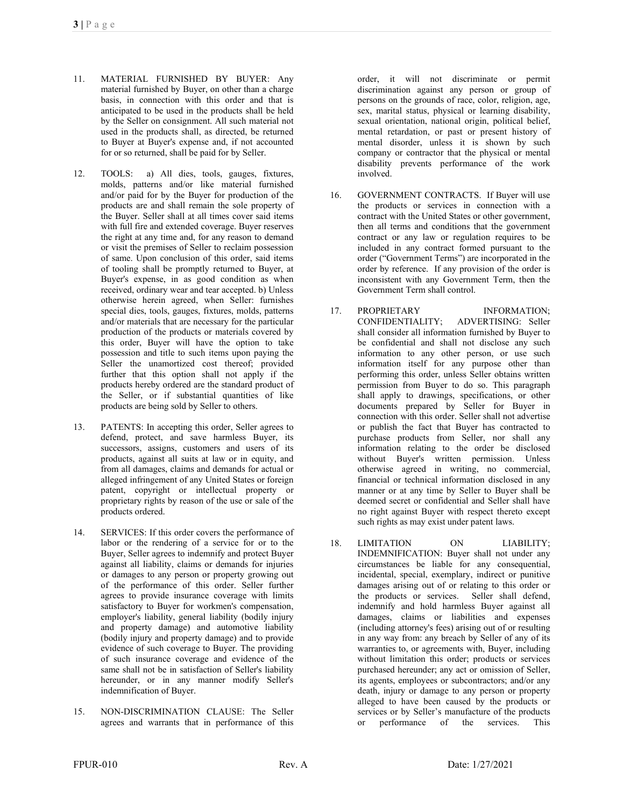- 11. MATERIAL FURNISHED BY BUYER: Any material furnished by Buyer, on other than a charge basis, in connection with this order and that is anticipated to be used in the products shall be held by the Seller on consignment. All such material not used in the products shall, as directed, be returned to Buyer at Buyer's expense and, if not accounted for or so returned, shall be paid for by Seller.
- 12. TOOLS: a) All dies, tools, gauges, fixtures, molds, patterns and/or like material furnished and/or paid for by the Buyer for production of the products are and shall remain the sole property of the Buyer. Seller shall at all times cover said items with full fire and extended coverage. Buyer reserves the right at any time and, for any reason to demand or visit the premises of Seller to reclaim possession of same. Upon conclusion of this order, said items of tooling shall be promptly returned to Buyer, at Buyer's expense, in as good condition as when received, ordinary wear and tear accepted. b) Unless otherwise herein agreed, when Seller: furnishes special dies, tools, gauges, fixtures, molds, patterns and/or materials that are necessary for the particular production of the products or materials covered by this order, Buyer will have the option to take possession and title to such items upon paying the Seller the unamortized cost thereof; provided further that this option shall not apply if the products hereby ordered are the standard product of the Seller, or if substantial quantities of like products are being sold by Seller to others.
- 13. PATENTS: In accepting this order, Seller agrees to defend, protect, and save harmless Buyer, its successors, assigns, customers and users of its products, against all suits at law or in equity, and from all damages, claims and demands for actual or alleged infringement of any United States or foreign patent, copyright or intellectual property or proprietary rights by reason of the use or sale of the products ordered.
- 14. SERVICES: If this order covers the performance of labor or the rendering of a service for or to the Buyer, Seller agrees to indemnify and protect Buyer against all liability, claims or demands for injuries or damages to any person or property growing out of the performance of this order. Seller further agrees to provide insurance coverage with limits satisfactory to Buyer for workmen's compensation, employer's liability, general liability (bodily injury and property damage) and automotive liability (bodily injury and property damage) and to provide evidence of such coverage to Buyer. The providing of such insurance coverage and evidence of the same shall not be in satisfaction of Seller's liability hereunder, or in any manner modify Seller's indemnification of Buyer.
- 15. NON-DISCRIMINATION CLAUSE: The Seller agrees and warrants that in performance of this

order, it will not discriminate or permit discrimination against any person or group of persons on the grounds of race, color, religion, age, sex, marital status, physical or learning disability, sexual orientation, national origin, political belief, mental retardation, or past or present history of mental disorder, unless it is shown by such company or contractor that the physical or mental disability prevents performance of the work involved.

- 16. GOVERNMENT CONTRACTS. If Buyer will use the products or services in connection with a contract with the United States or other government, then all terms and conditions that the government contract or any law or regulation requires to be included in any contract formed pursuant to the order ("Government Terms") are incorporated in the order by reference. If any provision of the order is inconsistent with any Government Term, then the Government Term shall control.
- 17. PROPRIETARY INFORMATION: CONFIDENTIALITY; ADVERTISING: Seller shall consider all information furnished by Buyer to be confidential and shall not disclose any such information to any other person, or use such information itself for any purpose other than performing this order, unless Seller obtains written permission from Buyer to do so. This paragraph shall apply to drawings, specifications, or other documents prepared by Seller for Buyer in connection with this order. Seller shall not advertise or publish the fact that Buyer has contracted to purchase products from Seller, nor shall any information relating to the order be disclosed without Buyer's written permission. Unless otherwise agreed in writing, no commercial, financial or technical information disclosed in any manner or at any time by Seller to Buyer shall be deemed secret or confidential and Seller shall have no right against Buyer with respect thereto except such rights as may exist under patent laws.
- 18. LIMITATION ON LIABILITY; INDEMNIFICATION: Buyer shall not under any circumstances be liable for any consequential, incidental, special, exemplary, indirect or punitive damages arising out of or relating to this order or the products or services. Seller shall defend, indemnify and hold harmless Buyer against all damages, claims or liabilities and expenses (including attorney's fees) arising out of or resulting in any way from: any breach by Seller of any of its warranties to, or agreements with, Buyer, including without limitation this order; products or services purchased hereunder; any act or omission of Seller, its agents, employees or subcontractors; and/or any death, injury or damage to any person or property alleged to have been caused by the products or services or by Seller's manufacture of the products or performance of the services. This